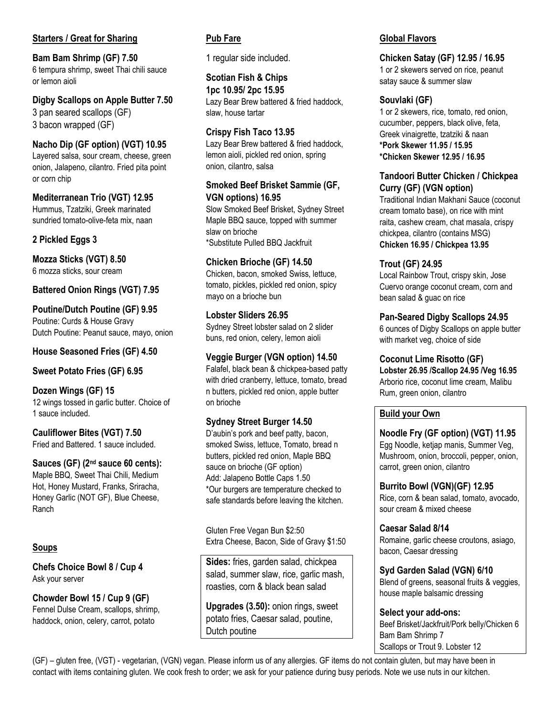# **Starters / Great for Sharing**

**Bam Bam Shrimp (GF) 7.50** 6 tempura shrimp, sweet Thai chili sauce or lemon aioli

**Digby Scallops on Apple Butter 7.50** 3 pan seared scallops (GF) 3 bacon wrapped (GF)

**Nacho Dip (GF option) (VGT) 10.95** Layered salsa, sour cream, cheese, green onion, Jalapeno, cilantro. Fried pita point or corn chip

**Mediterranean Trio (VGT) 12.95** Hummus, Tzatziki, Greek marinated sundried tomato-olive-feta mix, naan

# **2 Pickled Eggs 3**

**Mozza Sticks (VGT) 8.50** 6 mozza sticks, sour cream

**Battered Onion Rings (VGT) 7.95**

**Poutine/Dutch Poutine (GF) 9.95** Poutine: Curds & House Gravy Dutch Poutine: Peanut sauce, mayo, onion

**House Seasoned Fries (GF) 4.50**

**Sweet Potato Fries (GF) 6.95**

**Dozen Wings (GF) 15** 12 wings tossed in garlic butter. Choice of 1 sauce included.

**Cauliflower Bites (VGT) 7.50** Fried and Battered. 1 sauce included.

**Sauces (GF) (2nd sauce 60 cents):** Maple BBQ, Sweet Thai Chili, Medium Hot, Honey Mustard, Franks, Sriracha, Honey Garlic (NOT GF), Blue Cheese, Ranch

### **Soups**

**Chefs Choice Bowl 8 / Cup 4** Ask your server

**Chowder Bowl 15 / Cup 9 (GF)**  Fennel Dulse Cream, scallops, shrimp, haddock, onion, celery, carrot, potato

# **Pub Fare**

1 regular side included.

**Scotian Fish & Chips 1pc 10.95/ 2pc 15.95** Lazy Bear Brew battered & fried haddock, slaw, house tartar

### **Crispy Fish Taco 13.95**

Lazy Bear Brew battered & fried haddock, lemon aioli, pickled red onion, spring onion, cilantro, salsa

### **Smoked Beef Brisket Sammie (GF, VGN options) 16.95**

Slow Smoked Beef Brisket, Sydney Street Maple BBQ sauce, topped with summer slaw on brioche \*Substitute Pulled BBQ Jackfruit

### **Chicken Brioche (GF) 14.50**

Chicken, bacon, smoked Swiss, lettuce, tomato, pickles, pickled red onion, spicy mayo on a brioche bun

**Lobster Sliders 26.95** Sydney Street lobster salad on 2 slider buns, red onion, celery, lemon aioli

### **Veggie Burger (VGN option) 14.50**

Falafel, black bean & chickpea-based patty with dried cranberry, lettuce, tomato, bread n butters, pickled red onion, apple butter on brioche

### **Sydney Street Burger 14.50**

D'aubin's pork and beef patty, bacon, smoked Swiss, lettuce, Tomato, bread n butters, pickled red onion, Maple BBQ sauce on brioche (GF option) Add: Jalapeno Bottle Caps 1.50 \*Our burgers are temperature checked to safe standards before leaving the kitchen.

Gluten Free Vegan Bun \$2:50 Extra Cheese, Bacon, Side of Gravy \$1:50

**Sides:** fries, garden salad, chickpea salad, summer slaw, rice, garlic mash, roasties, corn & black bean salad

**Upgrades (3.50):** onion rings, sweet potato fries, Caesar salad, poutine, Dutch poutine

#### **Global Flavors**

#### **Chicken Satay (GF) 12.95 / 16.95**

1 or 2 skewers served on rice, peanut satay sauce & summer slaw

### **Souvlaki (GF)**

1 or 2 skewers, rice, tomato, red onion, cucumber, peppers, black olive, feta, Greek vinaigrette, tzatziki & naan **\*Pork Skewer 11.95 / 15.95 \*Chicken Skewer 12.95 / 16.95**

# **Tandoori Butter Chicken / Chickpea Curry (GF) (VGN option)**

Traditional Indian Makhani Sauce (coconut cream tomato base), on rice with mint raita, cashew cream, chat masala, crispy chickpea, cilantro (contains MSG) **Chicken 16.95 / Chickpea 13.95**

### **Trout (GF) 24.95**

Local Rainbow Trout, crispy skin, Jose Cuervo orange coconut cream, corn and bean salad & guac on rice

**Pan-Seared Digby Scallops 24.95**

6 ounces of Digby Scallops on apple butter with market veg, choice of side

**Coconut Lime Risotto (GF)** 

**Lobster 26.95 /Scallop 24.95 /Veg 16.95** Arborio rice, coconut lime cream, Malibu Rum, green onion, cilantro

### **Build your Own**

**Noodle Fry (GF option) (VGT) 11.95** Egg Noodle, ketjap manis, Summer Veg, Mushroom, onion, broccoli, pepper, onion, carrot, green onion, cilantro

### **Burrito Bowl (VGN)(GF) 12.95**

Rice, corn & bean salad, tomato, avocado, sour cream & mixed cheese

**Caesar Salad 8/14** Romaine, garlic cheese croutons, asiago, bacon, Caesar dressing

**Syd Garden Salad (VGN) 6/10**

Blend of greens, seasonal fruits & veggies, house maple balsamic dressing

#### **Select your add-ons:**

Beef Brisket/Jackfruit/Pork belly/Chicken 6 Bam Bam Shrimp 7 Scallops or Trout 9. Lobster 12

(GF) – gluten free, (VGT) - vegetarian, (VGN) vegan. Please inform us of any allergies. GF items do not contain gluten, but may have been in contact with items containing gluten. We cook fresh to order; we ask for your patience during busy periods. Note we use nuts in our kitchen.